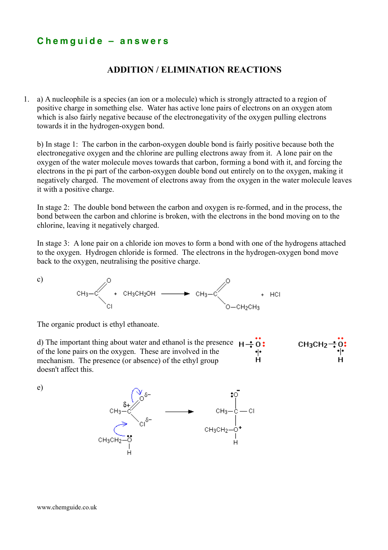## **C h e m g u i d e – a n s w e r s**

## **ADDITION / ELIMINATION REACTIONS**

1. a) A nucleophile is a species (an ion or a molecule) which is strongly attracted to a region of positive charge in something else. Water has active lone pairs of electrons on an oxygen atom which is also fairly negative because of the electronegativity of the oxygen pulling electrons towards it in the hydrogen-oxygen bond.

b) In stage 1: The carbon in the carbon-oxygen double bond is fairly positive because both the electronegative oxygen and the chlorine are pulling electrons away from it. A lone pair on the oxygen of the water molecule moves towards that carbon, forming a bond with it, and forcing the electrons in the pi part of the carbon-oxygen double bond out entirely on to the oxygen, making it negatively charged. The movement of electrons away from the oxygen in the water molecule leaves it with a positive charge.

In stage 2: The double bond between the carbon and oxygen is re-formed, and in the process, the bond between the carbon and chlorine is broken, with the electrons in the bond moving on to the chlorine, leaving it negatively charged.

In stage 3: A lone pair on a chloride ion moves to form a bond with one of the hydrogens attached to the oxygen. Hydrogen chloride is formed. The electrons in the hydrogen-oxygen bond move back to the oxygen, neutralising the positive charge.

$$
CH_3-C
$$
  
\n $CH_3-C$   
\n $CH_3CH_2OH$   
\n $CH_3-C$   
\n $CH_3-C$   
\n $O-CH_2CH_3$ 

The organic product is ethyl ethanoate.

d) The important thing about water and ethanol is the presence  $H \rightarrow 0$ : of the lone pairs on the oxygen. These are involved in the ۰ŀ mechanism. The presence (or absence) of the ethyl group doesn't affect this.



e)

c)

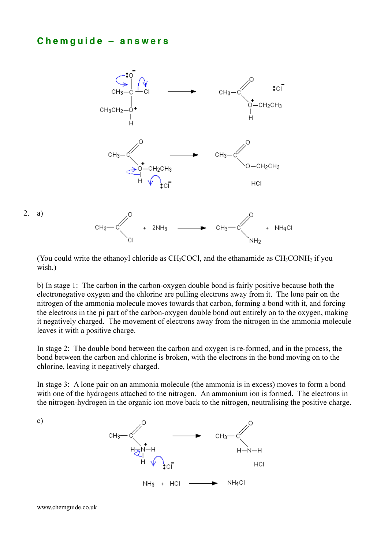## **C h e m g u i d e – a n s w e r s**



(You could write the ethanoyl chloride as  $CH_3COCl$ , and the ethanamide as  $CH_3CONH_2$  if you wish.)

b) In stage 1: The carbon in the carbon-oxygen double bond is fairly positive because both the electronegative oxygen and the chlorine are pulling electrons away from it. The lone pair on the nitrogen of the ammonia molecule moves towards that carbon, forming a bond with it, and forcing the electrons in the pi part of the carbon-oxygen double bond out entirely on to the oxygen, making it negatively charged. The movement of electrons away from the nitrogen in the ammonia molecule leaves it with a positive charge.

In stage 2: The double bond between the carbon and oxygen is re-formed, and in the process, the bond between the carbon and chlorine is broken, with the electrons in the bond moving on to the chlorine, leaving it negatively charged.

In stage 3: A lone pair on an ammonia molecule (the ammonia is in excess) moves to form a bond with one of the hydrogens attached to the nitrogen. An ammonium ion is formed. The electrons in the nitrogen-hydrogen in the organic ion move back to the nitrogen, neutralising the positive charge.

c)

2. a)